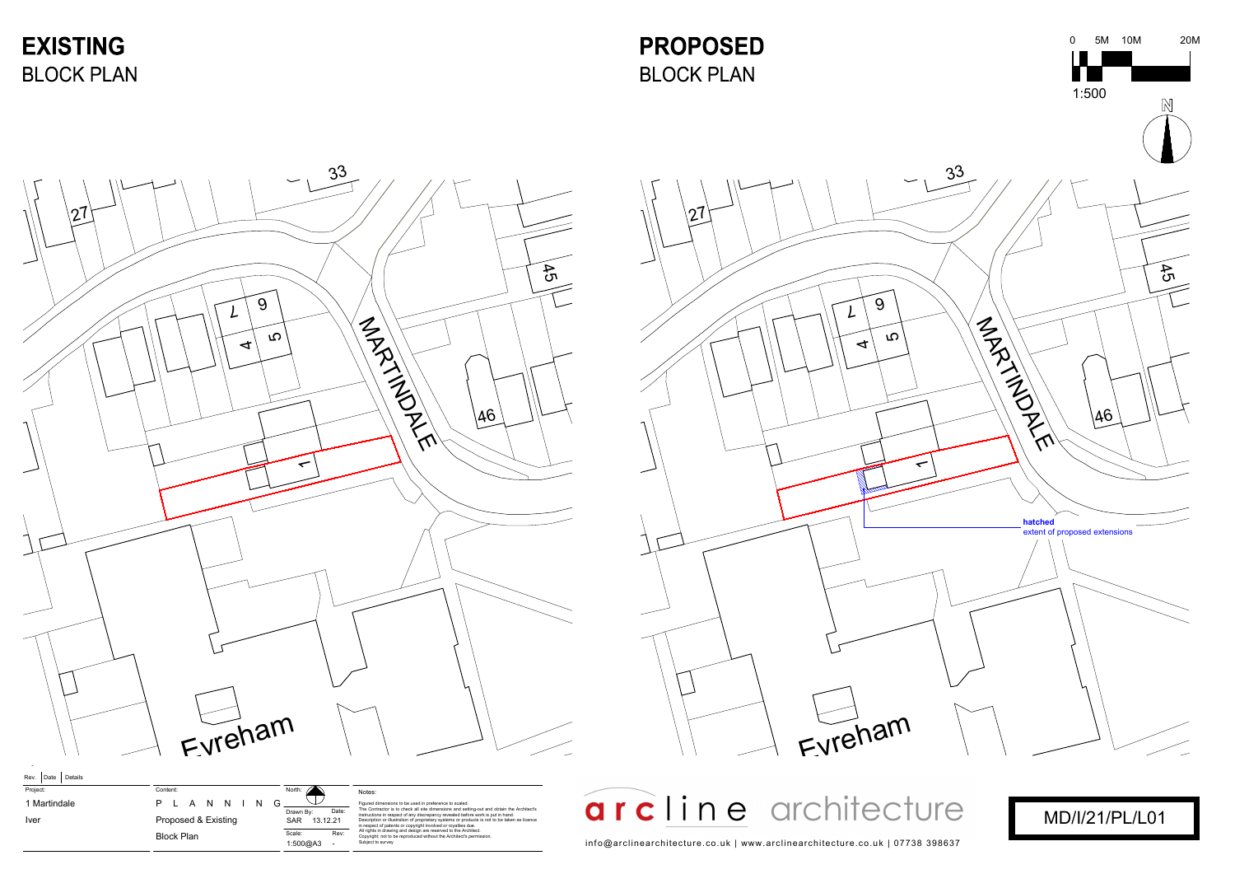

| Project:     | Content: |                   |  |                     |         |     |
|--------------|----------|-------------------|--|---------------------|---------|-----|
| 1 Martindale |          |                   |  |                     | PLANNIN | - G |
| <b>Iver</b>  |          |                   |  | Proposed & Existing |         |     |
|              |          | <b>Block Plan</b> |  |                     |         |     |
|              |          |                   |  |                     |         |     |

|                 | Figured dimensions to be used in preference to scaled                                                                                                                                                                                   |
|-----------------|-----------------------------------------------------------------------------------------------------------------------------------------------------------------------------------------------------------------------------------------|
| Date:<br>.12.21 | The Contractor is to check all site dimensions and se<br>instructions in respect of any discrepancy revealed be<br>Description or illustration of proprietary systems or pr<br>in respect of patents or copyright involved or royalties |
| Rev:            | All rights in drawing and design are reserved to the Ar<br>Copyright; not to be reproduced without the Architect's                                                                                                                      |
|                 | Subject to survey                                                                                                                                                                                                                       |
|                 |                                                                                                                                                                                                                                         |